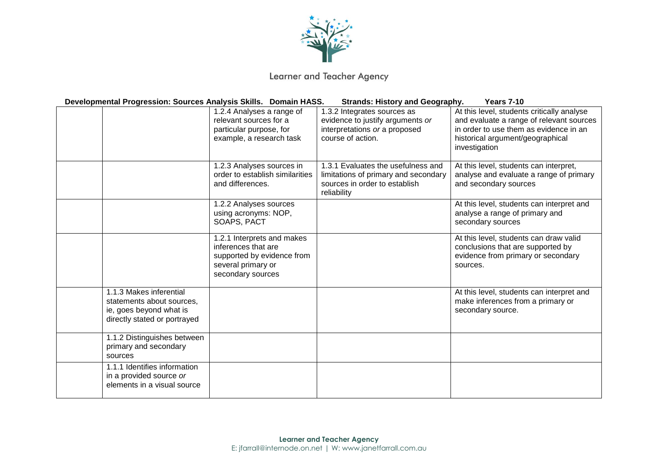

Learner and Teacher Agency

 **Developmental Progression: Sources Analysis Skills. Domain HASS. Strands: History and Geography. Years 7-10** 1.2.4 Analyses a range of relevant sources for a particular purpose, for example, a research task 1.3.2 Integrates sources as evidence to justify arguments *or* interpretations *or* a proposed course of action. At this level, students critically analyse and evaluate a range of relevant sources in order to use them as evidence in an historical argument/geographical investigation 1.2.3 Analyses sources in order to establish similarities and differences. 1.3.1 Evaluates the usefulness and limitations of primary and secondary sources in order to establish reliability At this level, students can interpret, analyse and evaluate a range of primary and secondary sources 1.2.2 Analyses sources using acronyms: NOP, SOAPS, PACT At this level, students can interpret and analyse a range of primary and secondary sources 1.2.1 Interprets and makes inferences that are supported by evidence from several primary or secondary sources At this level, students can draw valid conclusions that are supported by evidence from primary or secondary sources. 1.1.3 Makes inferential statements about sources, ie, goes beyond what is directly stated or portrayed At this level, students can interpret and make inferences from a primary or secondary source. 1.1.2 Distinguishes between primary and secondary sources 1.1.1 Identifies information in a provided source *or* elements in a visual source